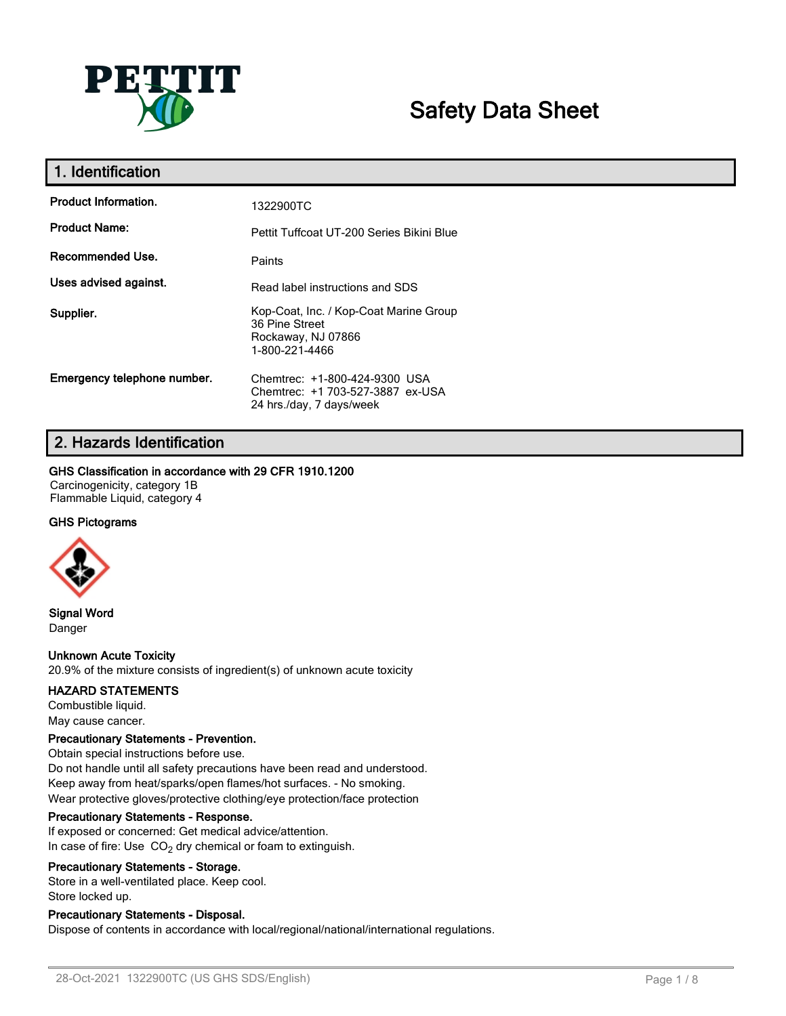

# **Safety Data Sheet**

| 1. Identification           |                                                                                                  |
|-----------------------------|--------------------------------------------------------------------------------------------------|
| <b>Product Information.</b> | 1322900TC                                                                                        |
| <b>Product Name:</b>        | Pettit Tuffcoat UT-200 Series Bikini Blue                                                        |
| Recommended Use.            | Paints                                                                                           |
| Uses advised against.       | Read label instructions and SDS                                                                  |
| Supplier.                   | Kop-Coat, Inc. / Kop-Coat Marine Group<br>36 Pine Street<br>Rockaway, NJ 07866<br>1-800-221-4466 |
| Emergency telephone number. | Chemtrec: +1-800-424-9300 USA<br>Chemtrec: +1 703-527-3887 ex-USA<br>24 hrs./day, 7 days/week    |

# **2. Hazards Identification**

### **GHS Classification in accordance with 29 CFR 1910.1200**

Carcinogenicity, category 1B Flammable Liquid, category 4

## **GHS Pictograms**



**Signal Word** Danger

# **Unknown Acute Toxicity**

20.9% of the mixture consists of ingredient(s) of unknown acute toxicity

### **HAZARD STATEMENTS**

Combustible liquid. May cause cancer.

### **Precautionary Statements - Prevention.**

Obtain special instructions before use. Do not handle until all safety precautions have been read and understood. Keep away from heat/sparks/open flames/hot surfaces. - No smoking. Wear protective gloves/protective clothing/eye protection/face protection

### **Precautionary Statements - Response.**

If exposed or concerned: Get medical advice/attention. In case of fire: Use  $CO<sub>2</sub>$  dry chemical or foam to extinguish.

### **Precautionary Statements - Storage.**

Store in a well-ventilated place. Keep cool. Store locked up.

## **Precautionary Statements - Disposal.**

Dispose of contents in accordance with local/regional/national/international regulations.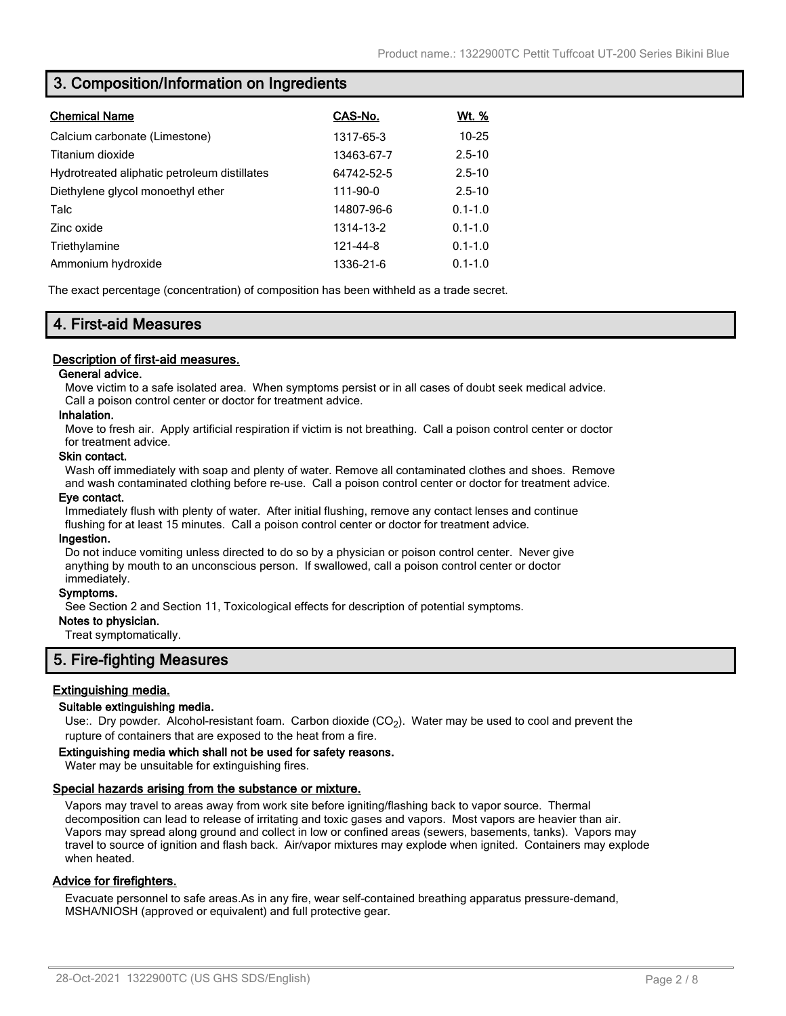# **3. Composition/Information on Ingredients**

| <b>Chemical Name</b>                         | CAS-No.    | <u>Wt. %</u> |
|----------------------------------------------|------------|--------------|
| Calcium carbonate (Limestone)                | 1317-65-3  | $10 - 25$    |
| Titanium dioxide                             | 13463-67-7 | $2.5 - 10$   |
| Hydrotreated aliphatic petroleum distillates | 64742-52-5 | $2.5 - 10$   |
| Diethylene glycol monoethyl ether            | 111-90-0   | $2.5 - 10$   |
| Talc                                         | 14807-96-6 | $0.1 - 1.0$  |
| Zinc oxide                                   | 1314-13-2  | $0.1 - 1.0$  |
| Triethylamine                                | 121-44-8   | $0.1 - 1.0$  |
| Ammonium hydroxide                           | 1336-21-6  | $0.1 - 1.0$  |

The exact percentage (concentration) of composition has been withheld as a trade secret.

# **4. First-aid Measures**

## **Description of first-aid measures.**

### **General advice.**

Move victim to a safe isolated area. When symptoms persist or in all cases of doubt seek medical advice. Call a poison control center or doctor for treatment advice.

### **Inhalation.**

Move to fresh air. Apply artificial respiration if victim is not breathing. Call a poison control center or doctor for treatment advice.

### **Skin contact.**

Wash off immediately with soap and plenty of water. Remove all contaminated clothes and shoes. Remove and wash contaminated clothing before re-use. Call a poison control center or doctor for treatment advice.

### **Eye contact.**

Immediately flush with plenty of water. After initial flushing, remove any contact lenses and continue flushing for at least 15 minutes. Call a poison control center or doctor for treatment advice.

### **Ingestion.**

Do not induce vomiting unless directed to do so by a physician or poison control center. Never give anything by mouth to an unconscious person. If swallowed, call a poison control center or doctor immediately.

### **Symptoms.**

See Section 2 and Section 11, Toxicological effects for description of potential symptoms.

### **Notes to physician.**

Treat symptomatically.

# **5. Fire-fighting Measures**

## **Extinguishing media.**

### **Suitable extinguishing media.**

Use:. Dry powder. Alcohol-resistant foam. Carbon dioxide (CO<sub>2</sub>). Water may be used to cool and prevent the rupture of containers that are exposed to the heat from a fire.

### **Extinguishing media which shall not be used for safety reasons.**

Water may be unsuitable for extinguishing fires.

### **Special hazards arising from the substance or mixture.**

Vapors may travel to areas away from work site before igniting/flashing back to vapor source. Thermal decomposition can lead to release of irritating and toxic gases and vapors. Most vapors are heavier than air. Vapors may spread along ground and collect in low or confined areas (sewers, basements, tanks). Vapors may travel to source of ignition and flash back. Air/vapor mixtures may explode when ignited. Containers may explode when heated.

## **Advice for firefighters.**

Evacuate personnel to safe areas.As in any fire, wear self-contained breathing apparatus pressure-demand, MSHA/NIOSH (approved or equivalent) and full protective gear.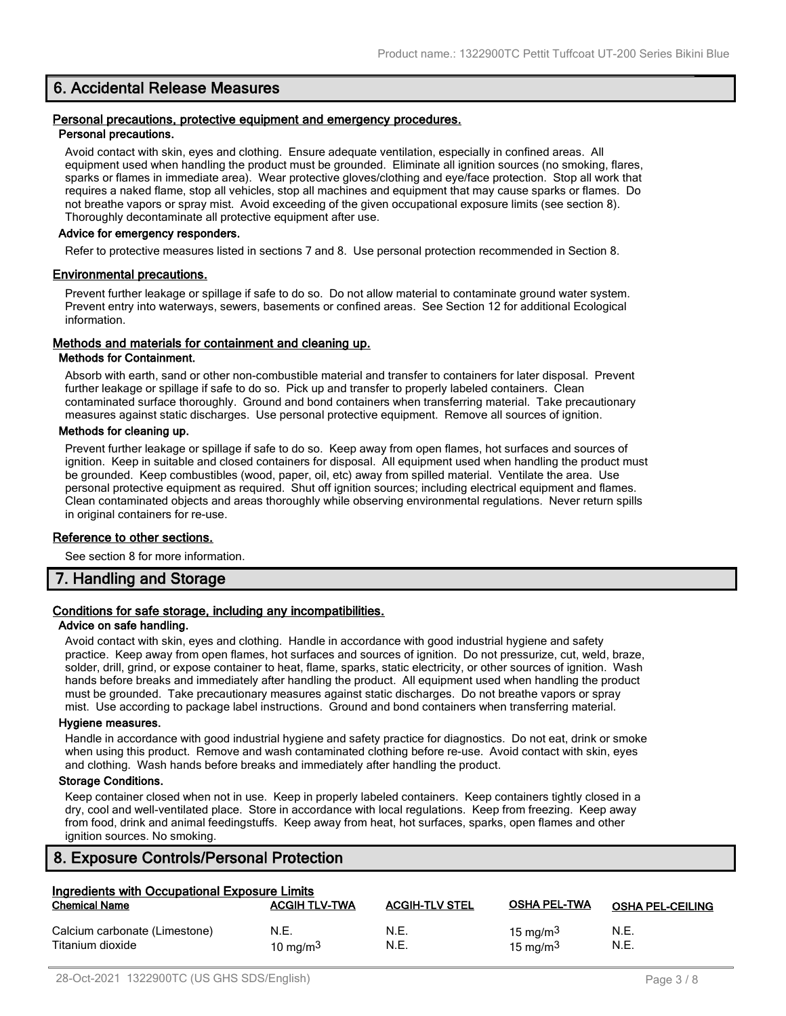# **6. Accidental Release Measures**

### **Personal precautions, protective equipment and emergency procedures. Personal precautions.**

Avoid contact with skin, eyes and clothing. Ensure adequate ventilation, especially in confined areas. All equipment used when handling the product must be grounded. Eliminate all ignition sources (no smoking, flares, sparks or flames in immediate area). Wear protective gloves/clothing and eye/face protection. Stop all work that requires a naked flame, stop all vehicles, stop all machines and equipment that may cause sparks or flames. Do not breathe vapors or spray mist. Avoid exceeding of the given occupational exposure limits (see section 8). Thoroughly decontaminate all protective equipment after use.

### **Advice for emergency responders.**

Refer to protective measures listed in sections 7 and 8. Use personal protection recommended in Section 8.

### **Environmental precautions.**

Prevent further leakage or spillage if safe to do so. Do not allow material to contaminate ground water system. Prevent entry into waterways, sewers, basements or confined areas. See Section 12 for additional Ecological information.

### **Methods and materials for containment and cleaning up.**

### **Methods for Containment.**

Absorb with earth, sand or other non-combustible material and transfer to containers for later disposal. Prevent further leakage or spillage if safe to do so. Pick up and transfer to properly labeled containers. Clean contaminated surface thoroughly. Ground and bond containers when transferring material. Take precautionary measures against static discharges. Use personal protective equipment. Remove all sources of ignition.

### **Methods for cleaning up.**

Prevent further leakage or spillage if safe to do so. Keep away from open flames, hot surfaces and sources of ignition. Keep in suitable and closed containers for disposal. All equipment used when handling the product must be grounded. Keep combustibles (wood, paper, oil, etc) away from spilled material. Ventilate the area. Use personal protective equipment as required. Shut off ignition sources; including electrical equipment and flames. Clean contaminated objects and areas thoroughly while observing environmental regulations. Never return spills in original containers for re-use.

### **Reference to other sections.**

See section 8 for more information.

# **7. Handling and Storage**

## **Conditions for safe storage, including any incompatibilities.**

#### **Advice on safe handling.**

Avoid contact with skin, eyes and clothing. Handle in accordance with good industrial hygiene and safety practice. Keep away from open flames, hot surfaces and sources of ignition. Do not pressurize, cut, weld, braze, solder, drill, grind, or expose container to heat, flame, sparks, static electricity, or other sources of ignition. Wash hands before breaks and immediately after handling the product. All equipment used when handling the product must be grounded. Take precautionary measures against static discharges. Do not breathe vapors or spray mist. Use according to package label instructions. Ground and bond containers when transferring material.

#### **Hygiene measures.**

Handle in accordance with good industrial hygiene and safety practice for diagnostics. Do not eat, drink or smoke when using this product. Remove and wash contaminated clothing before re-use. Avoid contact with skin, eyes and clothing. Wash hands before breaks and immediately after handling the product.

### **Storage Conditions.**

Keep container closed when not in use. Keep in properly labeled containers. Keep containers tightly closed in a dry, cool and well-ventilated place. Store in accordance with local regulations. Keep from freezing. Keep away from food, drink and animal feedingstuffs. Keep away from heat, hot surfaces, sparks, open flames and other ignition sources. No smoking.

# **8. Exposure Controls/Personal Protection**

| Ingredients with Occupational Exposure Limits     |                      |                       |                                     |                         |
|---------------------------------------------------|----------------------|-----------------------|-------------------------------------|-------------------------|
| <b>Chemical Name</b>                              | <b>ACGIH TLV-TWA</b> | <b>ACGIH-TLV STEL</b> | <b>OSHA PEL-TWA</b>                 | <b>OSHA PEL-CEILING</b> |
| Calcium carbonate (Limestone)<br>Titanium dioxide | N.E.<br>10 mg/m $3$  | N.E.<br>N.E.          | 15 mg/m <sup>3</sup><br>15 mg/m $3$ | N.E.<br>N.E.            |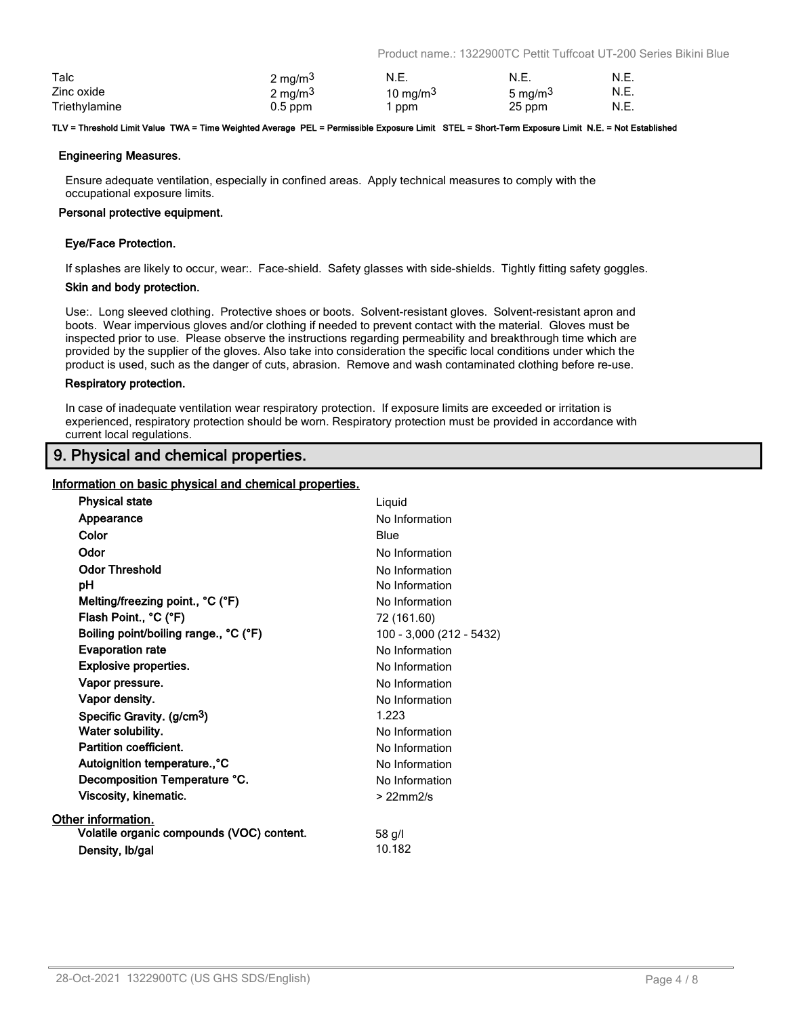Product name.: 1322900TC Pettit Tuffcoat UT-200 Series Bikini Blue

| Talc          | $2 \text{ mg/m}^3$  | N.E.                 | N.E.                | N.E. |
|---------------|---------------------|----------------------|---------------------|------|
| Zinc oxide    | 2 mg/m <sup>3</sup> | 10 mg/m <sup>3</sup> | 5 mg/m <sup>3</sup> | N.E. |
| Triethylamine | $0.5$ ppm           | ppm                  | 25 ppm              | N.E. |

#### **TLV = Threshold Limit Value TWA = Time Weighted Average PEL = Permissible Exposure Limit STEL = Short-Term Exposure Limit N.E. = Not Established**

### **Engineering Measures.**

Ensure adequate ventilation, especially in confined areas. Apply technical measures to comply with the occupational exposure limits.

### **Personal protective equipment.**

### **Eye/Face Protection.**

If splashes are likely to occur, wear:. Face-shield. Safety glasses with side-shields. Tightly fitting safety goggles.

### **Skin and body protection.**

Use:. Long sleeved clothing. Protective shoes or boots. Solvent-resistant gloves. Solvent-resistant apron and boots. Wear impervious gloves and/or clothing if needed to prevent contact with the material. Gloves must be inspected prior to use. Please observe the instructions regarding permeability and breakthrough time which are provided by the supplier of the gloves. Also take into consideration the specific local conditions under which the product is used, such as the danger of cuts, abrasion. Remove and wash contaminated clothing before re-use.

### **Respiratory protection.**

In case of inadequate ventilation wear respiratory protection. If exposure limits are exceeded or irritation is experienced, respiratory protection should be worn. Respiratory protection must be provided in accordance with current local regulations.

# **9. Physical and chemical properties.**

### **Information on basic physical and chemical properties.**

| <b>Physical state</b>                     | Liquid                   |
|-------------------------------------------|--------------------------|
| Appearance                                | No Information           |
| Color                                     | Blue                     |
| Odor                                      | No Information           |
| <b>Odor Threshold</b>                     | No Information           |
| рH                                        | No Information           |
| Melting/freezing point., °C (°F)          | No Information           |
| Flash Point., °C (°F)                     | 72 (161.60)              |
| Boiling point/boiling range., °C (°F)     | 100 - 3,000 (212 - 5432) |
| <b>Evaporation rate</b>                   | No Information           |
| <b>Explosive properties.</b>              | No Information           |
| Vapor pressure.                           | No Information           |
| Vapor density.                            | No Information           |
| Specific Gravity. (g/cm <sup>3</sup> )    | 1.223                    |
| Water solubility.                         | No Information           |
| <b>Partition coefficient.</b>             | No Information           |
| Autoignition temperature°C                | No Information           |
| Decomposition Temperature °C.             | No Information           |
| Viscosity, kinematic.                     | $>22$ mm $2/s$           |
| Other information.                        |                          |
| Volatile organic compounds (VOC) content. | 58 g/l                   |
| Density, Ib/gal                           | 10.182                   |
|                                           |                          |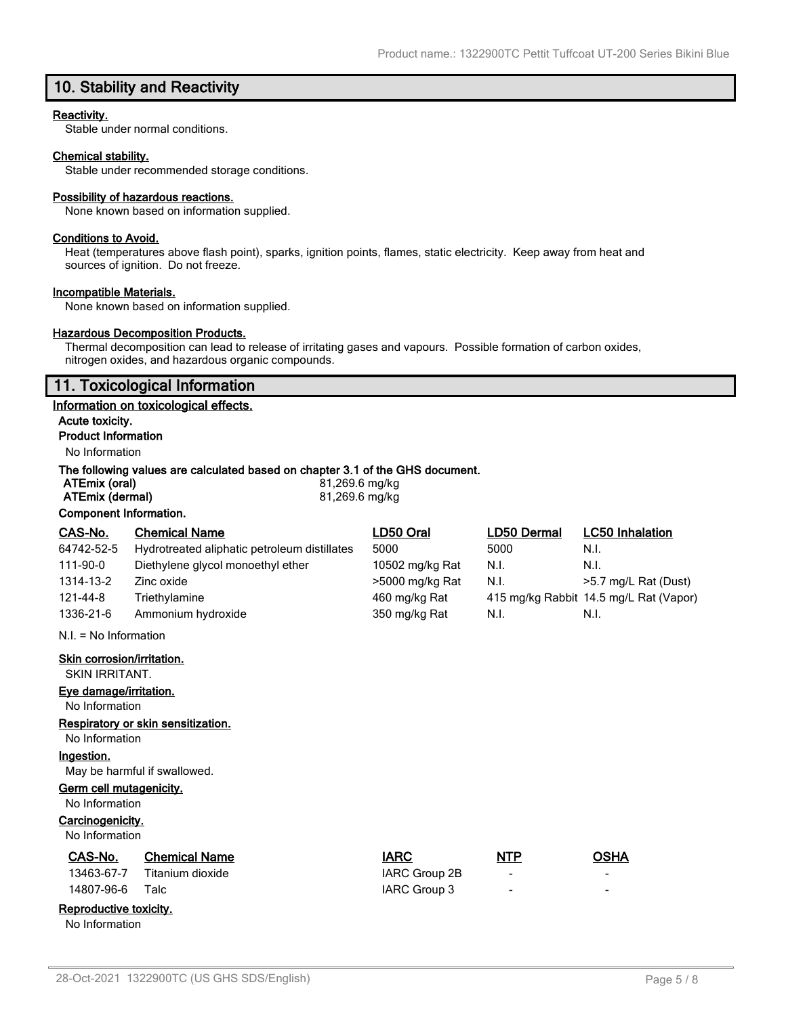# **10. Stability and Reactivity**

### **Reactivity.**

Stable under normal conditions.

### **Chemical stability.**

Stable under recommended storage conditions.

### **Possibility of hazardous reactions.**

None known based on information supplied.

#### **Conditions to Avoid.**

Heat (temperatures above flash point), sparks, ignition points, flames, static electricity. Keep away from heat and sources of ignition. Do not freeze.

#### **Incompatible Materials.**

None known based on information supplied.

### **Hazardous Decomposition Products.**

Thermal decomposition can lead to release of irritating gases and vapours. Possible formation of carbon oxides, nitrogen oxides, and hazardous organic compounds.

# **11. Toxicological Information**

### **Information on toxicological effects.**

**Acute toxicity. Product Information**

# No Information

### **The following values are calculated based on chapter 3.1 of the GHS document.**

| ATEmix (oral)          | 81,269.6 mg/kg |
|------------------------|----------------|
| ATEmix (dermal)        | 81,269.6 mg/kg |
| Component Information. |                |

| CAS-No.                    | <b>Chemical Name</b>                         | LD50 Oral       | LD50 Dermal | <b>LC50 Inhalation</b>                 |
|----------------------------|----------------------------------------------|-----------------|-------------|----------------------------------------|
| 64742-52-5                 | Hydrotreated aliphatic petroleum distillates | 5000            | 5000        | N.I.                                   |
| 111-90-0                   | Diethylene glycol monoethyl ether            | 10502 mg/kg Rat | N.I.        | N.I.                                   |
| 1314-13-2                  | Zinc oxide                                   | >5000 mg/kg Rat | N.I.        | >5.7 mg/L Rat (Dust)                   |
| 121-44-8                   | Triethylamine                                | 460 mg/kg Rat   |             | 415 mg/kg Rabbit 14.5 mg/L Rat (Vapor) |
| 1336-21-6                  | Ammonium hydroxide                           | 350 mg/kg Rat   | N.I.        | N.I.                                   |
| $N.I. = No Information$    |                                              |                 |             |                                        |
| Skin corrosion/irritation. |                                              |                 |             |                                        |
| SKIN IRRITANT.             |                                              |                 |             |                                        |

### **Eye damage/irritation.**

No Information

#### **Respiratory or skin sensitization.**

No Information

# **Ingestion.**

May be harmful if swallowed.

## **Germ cell mutagenicity.**

No Information

## **Carcinogenicity.**

No Information

| CAS-No. | <b>Chemical Name</b>        | <b>IARC</b>   | <b>NTP</b> | OSHA |
|---------|-----------------------------|---------------|------------|------|
|         | 13463-67-7 Titanium dioxide | IARC Group 2B |            |      |

# 14807-96-6 Talc IARC Group 3

# **Reproductive toxicity.**

No Information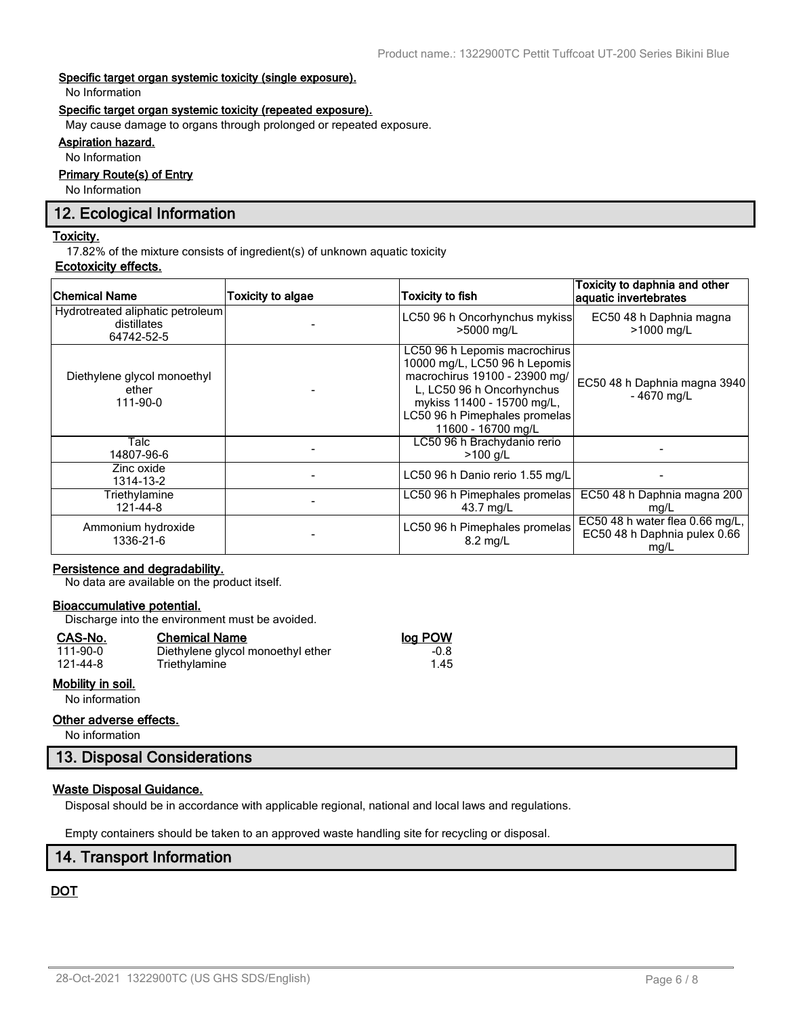### **Specific target organ systemic toxicity (single exposure).**

No Information

### **Specific target organ systemic toxicity (repeated exposure).**

May cause damage to organs through prolonged or repeated exposure.

# **Aspiration hazard.**

No Information

## **Primary Route(s) of Entry**

No Information

# **12. Ecological Information**

### **Toxicity.**

17.82% of the mixture consists of ingredient(s) of unknown aquatic toxicity

### **Ecotoxicity effects.**

| <b>Chemical Name</b>                                          | <b>Toxicity to algae</b> | <b>Toxicity to fish</b>                                                                                                                                                                                           | Toxicity to daphnia and other<br>aquatic invertebrates                  |
|---------------------------------------------------------------|--------------------------|-------------------------------------------------------------------------------------------------------------------------------------------------------------------------------------------------------------------|-------------------------------------------------------------------------|
| Hydrotreated aliphatic petroleum<br>distillates<br>64742-52-5 |                          | LC50 96 h Oncorhynchus mykiss<br>>5000 mg/L                                                                                                                                                                       | EC50 48 h Daphnia magna<br>>1000 mg/L                                   |
| Diethylene glycol monoethyl<br>ether<br>111-90-0              |                          | LC50 96 h Lepomis macrochirus<br>10000 mg/L, LC50 96 h Lepomis<br>macrochirus 19100 - 23900 mg/<br>L, LC50 96 h Oncorhynchus<br>mykiss 11400 - 15700 mg/L,<br>LC50 96 h Pimephales promelas<br>11600 - 16700 mg/L | EC50 48 h Daphnia magna 3940<br>$-4670$ mg/L                            |
| Talc<br>14807-96-6                                            |                          | LC50 96 h Brachydanio rerio<br>$>100$ g/L                                                                                                                                                                         |                                                                         |
| Zinc oxide<br>1314-13-2                                       |                          | LC50 96 h Danio rerio 1.55 mg/L                                                                                                                                                                                   |                                                                         |
| Triethylamine<br>121-44-8                                     |                          | LC50 96 h Pimephales promelas<br>43.7 mg/L                                                                                                                                                                        | EC50 48 h Daphnia magna 200<br>mg/L                                     |
| Ammonium hydroxide<br>1336-21-6                               |                          | LC50 96 h Pimephales promelas<br>$8.2 \text{ ma/L}$                                                                                                                                                               | EC50 48 h water flea 0.66 mg/L,<br>EC50 48 h Daphnia pulex 0.66<br>mg/L |

## **Persistence and degradability.**

No data are available on the product itself.

### **Bioaccumulative potential.**

Discharge into the environment must be avoided.

Triethylamine

#### **CAS-No. Chemical Name log POW**

| 111-90-0 |  |
|----------|--|
| 121-44-8 |  |

# **Mobility in soil.**

No information

### **Other adverse effects.**

No information

# **13. Disposal Considerations**

## **Waste Disposal Guidance.**

Disposal should be in accordance with applicable regional, national and local laws and regulations.

Empty containers should be taken to an approved waste handling site for recycling or disposal.

# **14. Transport Information**

# **DOT**

1.00 Diethylene glycol monoethyl ether -0.8<br>1.45 Triethylamine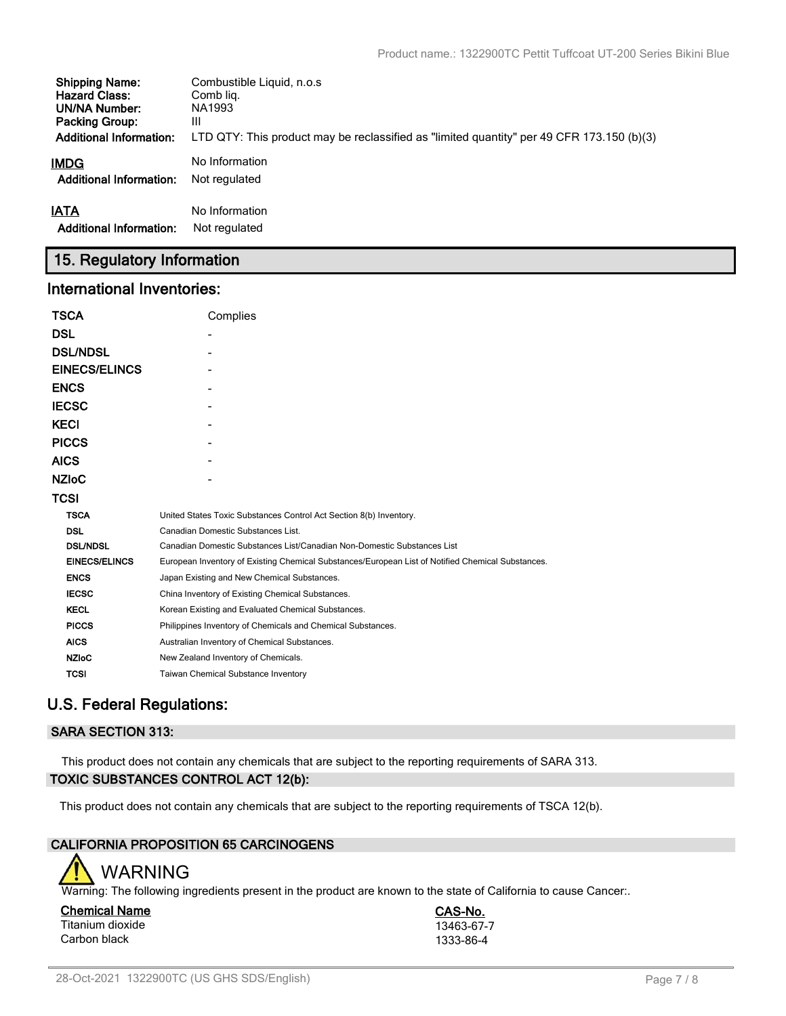| <b>Shipping Name:</b>          | Combustible Liquid, n.o.s                                                                 |
|--------------------------------|-------------------------------------------------------------------------------------------|
| <b>Hazard Class:</b>           | Comb lig.                                                                                 |
| UN/NA Number:                  | NA1993                                                                                    |
| <b>Packing Group:</b>          | Ш                                                                                         |
| <b>Additional Information:</b> | LTD QTY: This product may be reclassified as "limited quantity" per 49 CFR 173.150 (b)(3) |
| IMDG                           | No Information                                                                            |
| <b>Additional Information:</b> | Not regulated                                                                             |
| <b>IATA</b>                    | No Information                                                                            |
| <b>Additional Information:</b> | Not regulated                                                                             |

# **15. Regulatory Information**

# **International Inventories:**

| <b>TSCA</b>          | Complies                                                                                          |  |  |  |  |
|----------------------|---------------------------------------------------------------------------------------------------|--|--|--|--|
| <b>DSL</b>           |                                                                                                   |  |  |  |  |
| <b>DSL/NDSL</b>      |                                                                                                   |  |  |  |  |
| <b>EINECS/ELINCS</b> |                                                                                                   |  |  |  |  |
| <b>ENCS</b>          |                                                                                                   |  |  |  |  |
| <b>IECSC</b>         |                                                                                                   |  |  |  |  |
| <b>KECI</b>          |                                                                                                   |  |  |  |  |
| <b>PICCS</b>         |                                                                                                   |  |  |  |  |
| <b>AICS</b>          |                                                                                                   |  |  |  |  |
| <b>NZIOC</b>         |                                                                                                   |  |  |  |  |
| <b>TCSI</b>          |                                                                                                   |  |  |  |  |
| <b>TSCA</b>          | United States Toxic Substances Control Act Section 8(b) Inventory.                                |  |  |  |  |
| <b>DSL</b>           | Canadian Domestic Substances List.                                                                |  |  |  |  |
| <b>DSL/NDSL</b>      | Canadian Domestic Substances List/Canadian Non-Domestic Substances List                           |  |  |  |  |
| <b>EINECS/ELINCS</b> | European Inventory of Existing Chemical Substances/European List of Notified Chemical Substances. |  |  |  |  |
| <b>ENCS</b>          | Japan Existing and New Chemical Substances.                                                       |  |  |  |  |
| <b>IECSC</b>         | China Inventory of Existing Chemical Substances.                                                  |  |  |  |  |
| <b>KECL</b>          | Korean Existing and Evaluated Chemical Substances.                                                |  |  |  |  |
| <b>PICCS</b>         | Philippines Inventory of Chemicals and Chemical Substances.                                       |  |  |  |  |
| <b>AICS</b>          | Australian Inventory of Chemical Substances.                                                      |  |  |  |  |
| <b>NZIoC</b>         | New Zealand Inventory of Chemicals.                                                               |  |  |  |  |
| <b>TCSI</b>          | Taiwan Chemical Substance Inventory                                                               |  |  |  |  |

# **U.S. Federal Regulations:**

# **SARA SECTION 313:**

This product does not contain any chemicals that are subject to the reporting requirements of SARA 313. **TOXIC SUBSTANCES CONTROL ACT 12(b):**

This product does not contain any chemicals that are subject to the reporting requirements of TSCA 12(b).

# **CALIFORNIA PROPOSITION 65 CARCINOGENS**



Warning: The following ingredients present in the product are known to the state of California to cause Cancer:.

**Chemical Name CAS-No.** Titanium dioxide 13463-67-7<br>Carbon black 1333-86-4 Carbon black